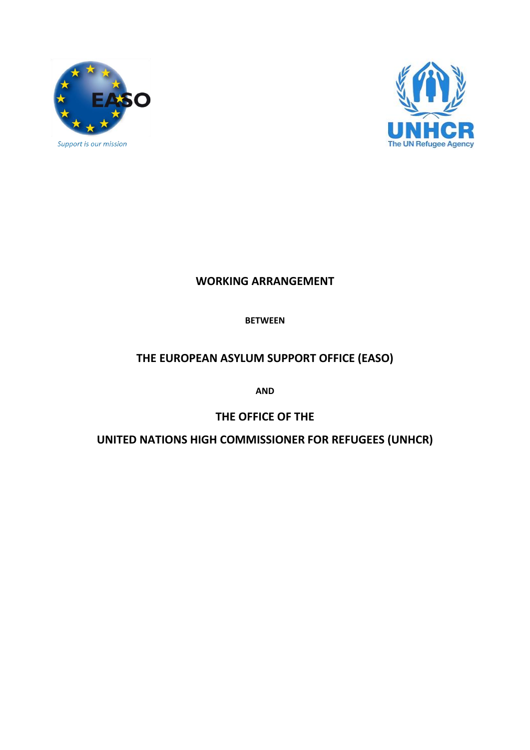



# **WORKING ARRANGEMENT**

# **BETWEEN**

# **THE EUROPEAN ASYLUM SUPPORT OFFICE (EASO)**

**AND**

# **THE OFFICE OF THE**

**UNITED NATIONS HIGH COMMISSIONER FOR REFUGEES (UNHCR)**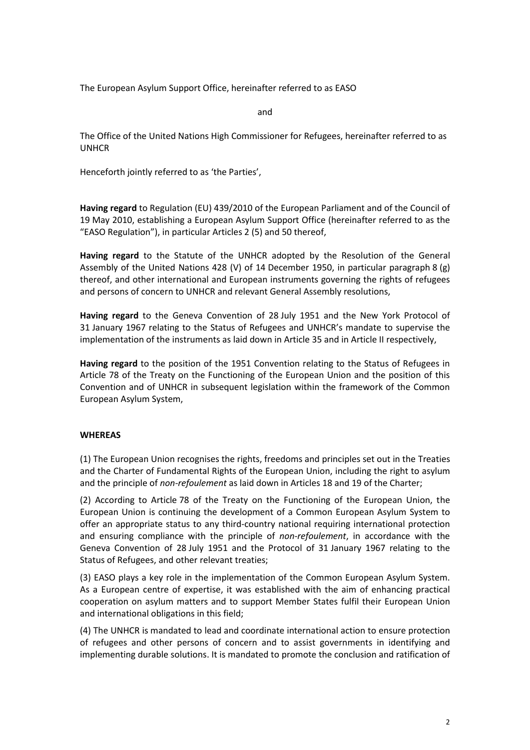The European Asylum Support Office, hereinafter referred to as EASO

and

The Office of the United Nations High Commissioner for Refugees, hereinafter referred to as UNHCR

Henceforth jointly referred to as 'the Parties',

**Having regard** to Regulation (EU) 439/2010 of the European Parliament and of the Council of 19 May 2010, establishing a European Asylum Support Office (hereinafter referred to as the "EASO Regulation"), in particular Articles 2 (5) and 50 thereof,

**Having regard** to the Statute of the UNHCR adopted by the Resolution of the General Assembly of the United Nations 428 (V) of 14 December 1950, in particular paragraph 8 (g) thereof, and other international and European instruments governing the rights of refugees and persons of concern to UNHCR and relevant General Assembly resolutions,

**Having regard** to the Geneva Convention of 28 July 1951 and the New York Protocol of 31 January 1967 relating to the Status of Refugees and UNHCR's mandate to supervise the implementation of the instruments as laid down in Article 35 and in Article II respectively,

**Having regard** to the position of the 1951 Convention relating to the Status of Refugees in Article 78 of the Treaty on the Functioning of the European Union and the position of this Convention and of UNHCR in subsequent legislation within the framework of the Common European Asylum System,

## **WHEREAS**

(1) The European Union recognises the rights, freedoms and principles set out in the Treaties and the Charter of Fundamental Rights of the European Union, including the right to asylum and the principle of *non-refoulement* as laid down in Articles 18 and 19 of the Charter;

(2) According to Article 78 of the Treaty on the Functioning of the European Union, the European Union is continuing the development of a Common European Asylum System to offer an appropriate status to any third-country national requiring international protection and ensuring compliance with the principle of *non-refoulement*, in accordance with the Geneva Convention of 28 July 1951 and the Protocol of 31 January 1967 relating to the Status of Refugees, and other relevant treaties;

(3) EASO plays a key role in the implementation of the Common European Asylum System. As a European centre of expertise, it was established with the aim of enhancing practical cooperation on asylum matters and to support Member States fulfil their European Union and international obligations in this field;

(4) The UNHCR is mandated to lead and coordinate international action to ensure protection of refugees and other persons of concern and to assist governments in identifying and implementing durable solutions. It is mandated to promote the conclusion and ratification of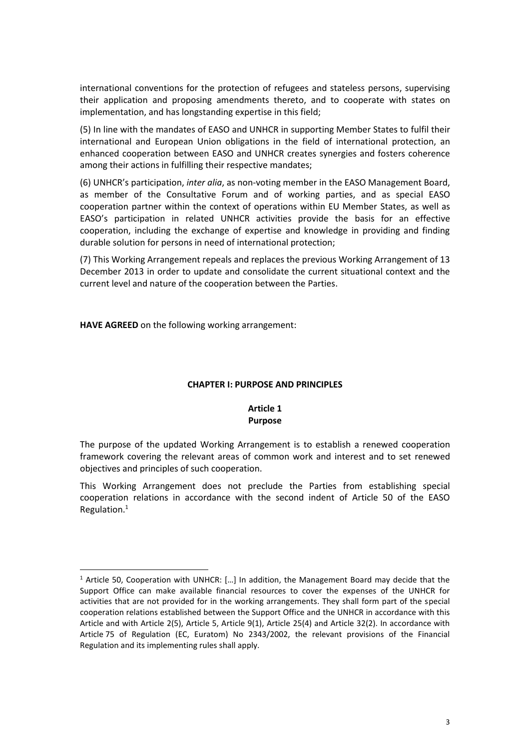international conventions for the protection of refugees and stateless persons, supervising their application and proposing amendments thereto, and to cooperate with states on implementation, and has longstanding expertise in this field;

(5) In line with the mandates of EASO and UNHCR in supporting Member States to fulfil their international and European Union obligations in the field of international protection, an enhanced cooperation between EASO and UNHCR creates synergies and fosters coherence among their actions in fulfilling their respective mandates;

(6) UNHCR's participation, *inter alia*, as non-voting member in the EASO Management Board, as member of the Consultative Forum and of working parties, and as special EASO cooperation partner within the context of operations within EU Member States, as well as EASO's participation in related UNHCR activities provide the basis for an effective cooperation, including the exchange of expertise and knowledge in providing and finding durable solution for persons in need of international protection;

(7) This Working Arrangement repeals and replaces the previous Working Arrangement of 13 December 2013 in order to update and consolidate the current situational context and the current level and nature of the cooperation between the Parties.

**HAVE AGREED** on the following working arrangement:

## **CHAPTER I: PURPOSE AND PRINCIPLES**

## **Article 1 Purpose**

The purpose of the updated Working Arrangement is to establish a renewed cooperation framework covering the relevant areas of common work and interest and to set renewed objectives and principles of such cooperation.

This Working Arrangement does not preclude the Parties from establishing special cooperation relations in accordance with the second indent of Article 50 of the EASO Regulation.<sup>1</sup>

<sup>&</sup>lt;sup>1</sup> Article 50, Cooperation with UNHCR: [...] In addition, the Management Board may decide that the Support Office can make available financial resources to cover the expenses of the UNHCR for activities that are not provided for in the working arrangements. They shall form part of the special cooperation relations established between the Support Office and the UNHCR in accordance with this Article and with Article 2(5), Article 5, Article 9(1), Article 25(4) and Article 32(2). In accordance with Article 75 of Regulation (EC, Euratom) No 2343/2002, the relevant provisions of the Financial Regulation and its implementing rules shall apply.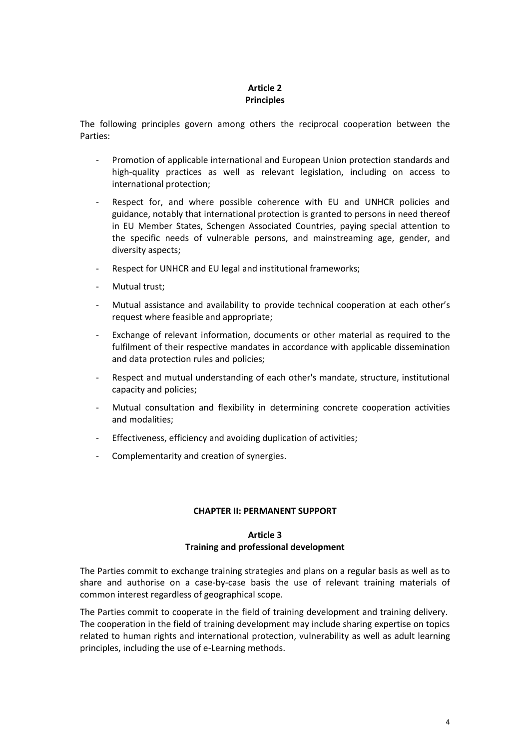# **Article 2 Principles**

The following principles govern among others the reciprocal cooperation between the Parties:

- Promotion of applicable international and European Union protection standards and high-quality practices as well as relevant legislation, including on access to international protection;
- Respect for, and where possible coherence with EU and UNHCR policies and guidance, notably that international protection is granted to persons in need thereof in EU Member States, Schengen Associated Countries, paying special attention to the specific needs of vulnerable persons, and mainstreaming age, gender, and diversity aspects;
- Respect for UNHCR and EU legal and institutional frameworks;
- Mutual trust;
- Mutual assistance and availability to provide technical cooperation at each other's request where feasible and appropriate;
- Exchange of relevant information, documents or other material as required to the fulfilment of their respective mandates in accordance with applicable dissemination and data protection rules and policies;
- Respect and mutual understanding of each other's mandate, structure, institutional capacity and policies;
- Mutual consultation and flexibility in determining concrete cooperation activities and modalities;
- Effectiveness, efficiency and avoiding duplication of activities;
- Complementarity and creation of synergies.

#### **CHAPTER II: PERMANENT SUPPORT**

# **Article 3 Training and professional development**

The Parties commit to exchange training strategies and plans on a regular basis as well as to share and authorise on a case-by-case basis the use of relevant training materials of common interest regardless of geographical scope.

The Parties commit to cooperate in the field of training development and training delivery. The cooperation in the field of training development may include sharing expertise on topics related to human rights and international protection, vulnerability as well as adult learning principles, including the use of e-Learning methods.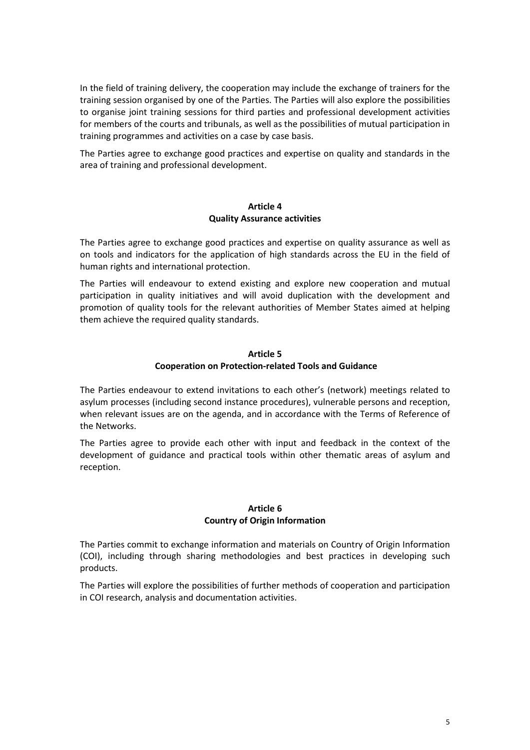In the field of training delivery, the cooperation may include the exchange of trainers for the training session organised by one of the Parties. The Parties will also explore the possibilities to organise joint training sessions for third parties and professional development activities for members of the courts and tribunals, as well as the possibilities of mutual participation in training programmes and activities on a case by case basis.

The Parties agree to exchange good practices and expertise on quality and standards in the area of training and professional development.

## **Article 4 Quality Assurance activities**

The Parties agree to exchange good practices and expertise on quality assurance as well as on tools and indicators for the application of high standards across the EU in the field of human rights and international protection.

The Parties will endeavour to extend existing and explore new cooperation and mutual participation in quality initiatives and will avoid duplication with the development and promotion of quality tools for the relevant authorities of Member States aimed at helping them achieve the required quality standards.

#### **Article 5**

# **Cooperation on Protection-related Tools and Guidance**

The Parties endeavour to extend invitations to each other's (network) meetings related to asylum processes (including second instance procedures), vulnerable persons and reception, when relevant issues are on the agenda, and in accordance with the Terms of Reference of the Networks.

The Parties agree to provide each other with input and feedback in the context of the development of guidance and practical tools within other thematic areas of asylum and reception.

## **Article 6 Country of Origin Information**

The Parties commit to exchange information and materials on Country of Origin Information (COI), including through sharing methodologies and best practices in developing such products.

The Parties will explore the possibilities of further methods of cooperation and participation in COI research, analysis and documentation activities.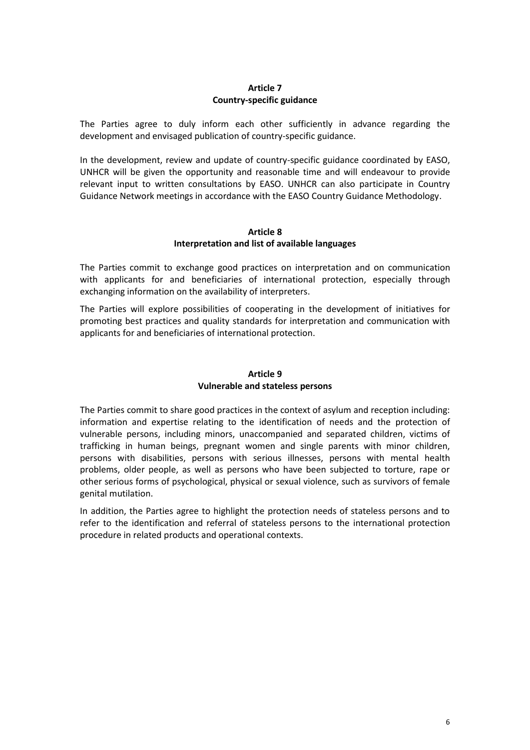# **Article 7 Country-specific guidance**

The Parties agree to duly inform each other sufficiently in advance regarding the development and envisaged publication of country-specific guidance.

In the development, review and update of country-specific guidance coordinated by EASO, UNHCR will be given the opportunity and reasonable time and will endeavour to provide relevant input to written consultations by EASO. UNHCR can also participate in Country Guidance Network meetings in accordance with the EASO Country Guidance Methodology.

## **Article 8 Interpretation and list of available languages**

The Parties commit to exchange good practices on interpretation and on communication with applicants for and beneficiaries of international protection, especially through exchanging information on the availability of interpreters.

The Parties will explore possibilities of cooperating in the development of initiatives for promoting best practices and quality standards for interpretation and communication with applicants for and beneficiaries of international protection.

# **Article 9 Vulnerable and stateless persons**

The Parties commit to share good practices in the context of asylum and reception including: information and expertise relating to the identification of needs and the protection of vulnerable persons, including minors, unaccompanied and separated children, victims of trafficking in human beings, pregnant women and single parents with minor children, persons with disabilities, persons with serious illnesses, persons with mental health problems, older people, as well as persons who have been subjected to torture, rape or other serious forms of psychological, physical or sexual violence, such as survivors of female genital mutilation.

In addition, the Parties agree to highlight the protection needs of stateless persons and to refer to the identification and referral of stateless persons to the international protection procedure in related products and operational contexts.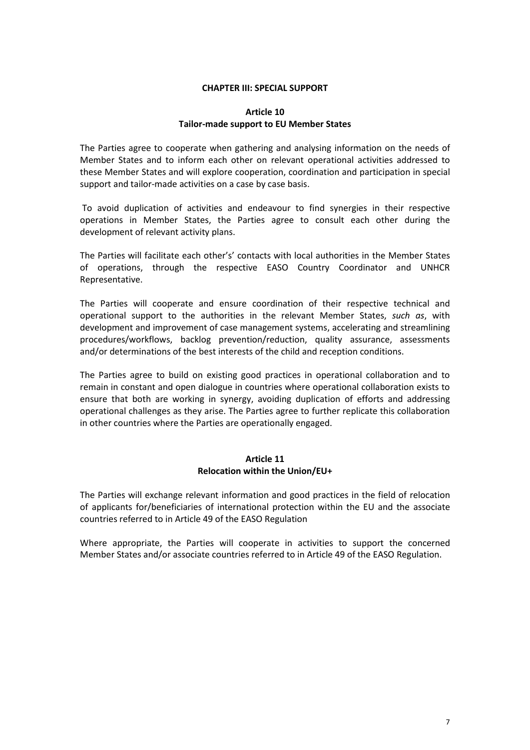### **CHAPTER III: SPECIAL SUPPORT**

## **Article 10 Tailor-made support to EU Member States**

The Parties agree to cooperate when gathering and analysing information on the needs of Member States and to inform each other on relevant operational activities addressed to these Member States and will explore cooperation, coordination and participation in special support and tailor-made activities on a case by case basis.

To avoid duplication of activities and endeavour to find synergies in their respective operations in Member States, the Parties agree to consult each other during the development of relevant activity plans.

The Parties will facilitate each other's' contacts with local authorities in the Member States of operations, through the respective EASO Country Coordinator and UNHCR Representative.

The Parties will cooperate and ensure coordination of their respective technical and operational support to the authorities in the relevant Member States, *such as*, with development and improvement of case management systems, accelerating and streamlining procedures/workflows, backlog prevention/reduction, quality assurance, assessments and/or determinations of the best interests of the child and reception conditions.

The Parties agree to build on existing good practices in operational collaboration and to remain in constant and open dialogue in countries where operational collaboration exists to ensure that both are working in synergy, avoiding duplication of efforts and addressing operational challenges as they arise. The Parties agree to further replicate this collaboration in other countries where the Parties are operationally engaged.

## **Article 11 Relocation within the Union/EU+**

The Parties will exchange relevant information and good practices in the field of relocation of applicants for/beneficiaries of international protection within the EU and the associate countries referred to in Article 49 of the EASO Regulation

Where appropriate, the Parties will cooperate in activities to support the concerned Member States and/or associate countries referred to in Article 49 of the EASO Regulation.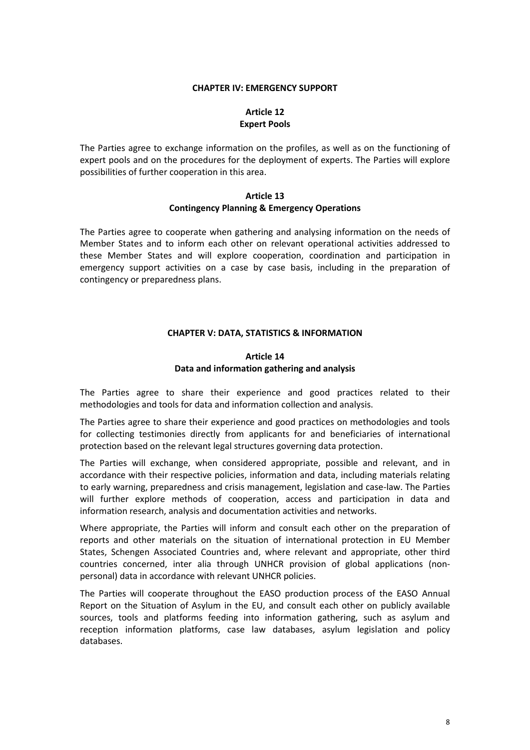#### **CHAPTER IV: EMERGENCY SUPPORT**

# **Article 12 Expert Pools**

The Parties agree to exchange information on the profiles, as well as on the functioning of expert pools and on the procedures for the deployment of experts. The Parties will explore possibilities of further cooperation in this area.

### **Article 13 Contingency Planning & Emergency Operations**

The Parties agree to cooperate when gathering and analysing information on the needs of Member States and to inform each other on relevant operational activities addressed to these Member States and will explore cooperation, coordination and participation in emergency support activities on a case by case basis, including in the preparation of contingency or preparedness plans.

## **CHAPTER V: DATA, STATISTICS & INFORMATION**

# **Article 14 Data and information gathering and analysis**

The Parties agree to share their experience and good practices related to their methodologies and tools for data and information collection and analysis.

The Parties agree to share their experience and good practices on methodologies and tools for collecting testimonies directly from applicants for and beneficiaries of international protection based on the relevant legal structures governing data protection.

The Parties will exchange, when considered appropriate, possible and relevant, and in accordance with their respective policies, information and data, including materials relating to early warning, preparedness and crisis management, legislation and case-law. The Parties will further explore methods of cooperation, access and participation in data and information research, analysis and documentation activities and networks.

Where appropriate, the Parties will inform and consult each other on the preparation of reports and other materials on the situation of international protection in EU Member States, Schengen Associated Countries and, where relevant and appropriate, other third countries concerned, inter alia through UNHCR provision of global applications (nonpersonal) data in accordance with relevant UNHCR policies.

The Parties will cooperate throughout the EASO production process of the EASO Annual Report on the Situation of Asylum in the EU, and consult each other on publicly available sources, tools and platforms feeding into information gathering, such as asylum and reception information platforms, case law databases, asylum legislation and policy databases.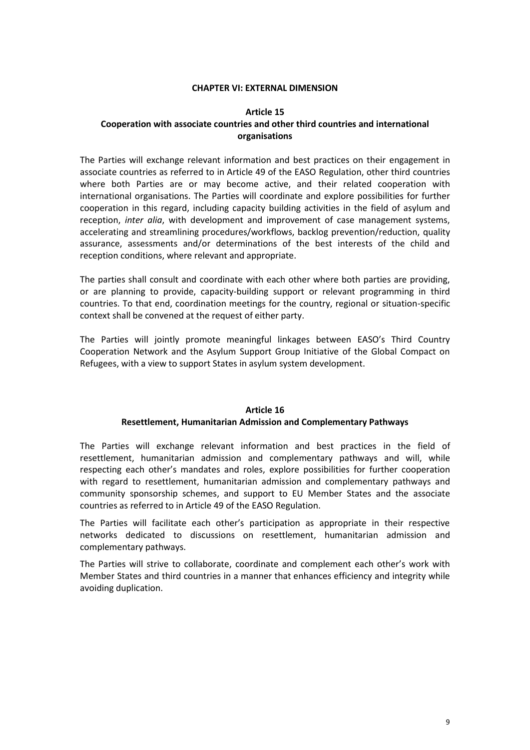#### **CHAPTER VI: EXTERNAL DIMENSION**

#### **Article 15**

## **Cooperation with associate countries and other third countries and international organisations**

The Parties will exchange relevant information and best practices on their engagement in associate countries as referred to in Article 49 of the EASO Regulation, other third countries where both Parties are or may become active, and their related cooperation with international organisations. The Parties will coordinate and explore possibilities for further cooperation in this regard, including capacity building activities in the field of asylum and reception, *inter alia*, with development and improvement of case management systems, accelerating and streamlining procedures/workflows, backlog prevention/reduction, quality assurance, assessments and/or determinations of the best interests of the child and reception conditions, where relevant and appropriate.

The parties shall consult and coordinate with each other where both parties are providing, or are planning to provide, capacity-building support or relevant programming in third countries. To that end, coordination meetings for the country, regional or situation-specific context shall be convened at the request of either party.

The Parties will jointly promote meaningful linkages between EASO's Third Country Cooperation Network and the Asylum Support Group Initiative of the Global Compact on Refugees, with a view to support States in asylum system development.

# **Article 16**

## **Resettlement, Humanitarian Admission and Complementary Pathways**

The Parties will exchange relevant information and best practices in the field of resettlement, humanitarian admission and complementary pathways and will, while respecting each other's mandates and roles, explore possibilities for further cooperation with regard to resettlement, humanitarian admission and complementary pathways and community sponsorship schemes, and support to EU Member States and the associate countries as referred to in Article 49 of the EASO Regulation.

The Parties will facilitate each other's participation as appropriate in their respective networks dedicated to discussions on resettlement, humanitarian admission and complementary pathways.

The Parties will strive to collaborate, coordinate and complement each other's work with Member States and third countries in a manner that enhances efficiency and integrity while avoiding duplication.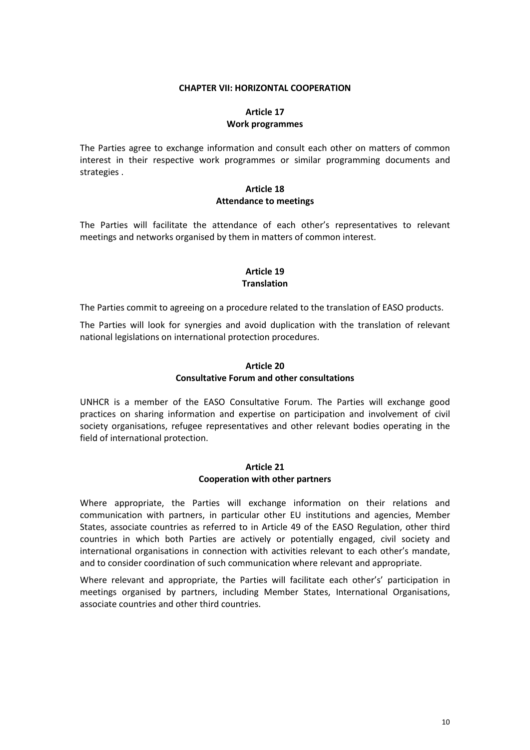#### **CHAPTER VII: HORIZONTAL COOPERATION**

# **Article 17 Work programmes**

The Parties agree to exchange information and consult each other on matters of common interest in their respective work programmes or similar programming documents and strategies .

### **Article 18 Attendance to meetings**

The Parties will facilitate the attendance of each other's representatives to relevant meetings and networks organised by them in matters of common interest.

# **Article 19 Translation**

The Parties commit to agreeing on a procedure related to the translation of EASO products.

The Parties will look for synergies and avoid duplication with the translation of relevant national legislations on international protection procedures.

# **Article 20 Consultative Forum and other consultations**

UNHCR is a member of the EASO Consultative Forum. The Parties will exchange good practices on sharing information and expertise on participation and involvement of civil society organisations, refugee representatives and other relevant bodies operating in the field of international protection.

## **Article 21 Cooperation with other partners**

Where appropriate, the Parties will exchange information on their relations and communication with partners, in particular other EU institutions and agencies, Member States, associate countries as referred to in Article 49 of the EASO Regulation, other third countries in which both Parties are actively or potentially engaged, civil society and international organisations in connection with activities relevant to each other's mandate, and to consider coordination of such communication where relevant and appropriate.

Where relevant and appropriate, the Parties will facilitate each other's' participation in meetings organised by partners, including Member States, International Organisations, associate countries and other third countries.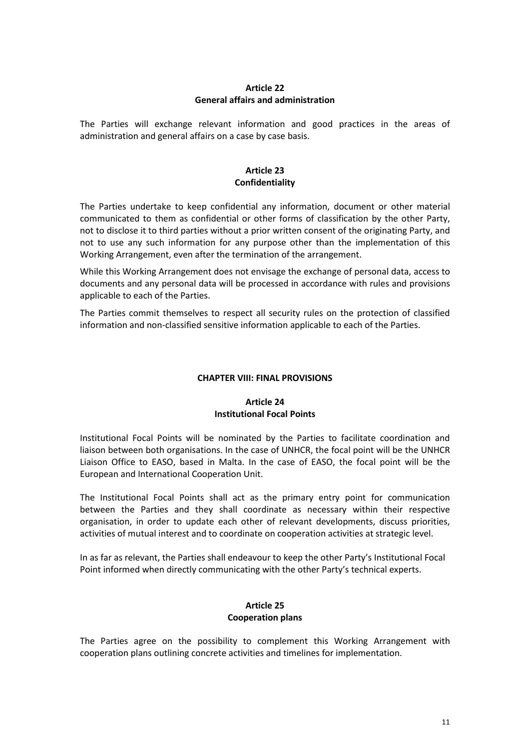## **Article 22 General affairs and administration**

The Parties will exchange relevant information and good practices in the areas of administration and general affairs on a case by case basis.

# **Article 23 Confidentiality**

The Parties undertake to keep confidential any information, document or other material communicated to them as confidential or other forms of classification by the other Party, not to disclose it to third parties without a prior written consent of the originating Party, and not to use any such information for any purpose other than the implementation of this Working Arrangement, even after the termination of the arrangement.

While this Working Arrangement does not envisage the exchange of personal data, access to documents and any personal data will be processed in accordance with rules and provisions applicable to each of the Parties.

The Parties commit themselves to respect all security rules on the protection of classified information and non-classified sensitive information applicable to each of the Parties.

## **CHAPTER VIII: FINAL PROVISIONS**

# **Article 24 Institutional Focal Points**

Institutional Focal Points will be nominated by the Parties to facilitate coordination and liaison between both organisations. In the case of UNHCR, the focal point will be the UNHCR Liaison Office to EASO, based in Malta. In the case of EASO, the focal point will be the European and International Cooperation Unit.

The Institutional Focal Points shall act as the primary entry point for communication between the Parties and they shall coordinate as necessary within their respective organisation, in order to update each other of relevant developments, discuss priorities, activities of mutual interest and to coordinate on cooperation activities at strategic level.

In as far as relevant, the Parties shall endeavour to keep the other Party's Institutional Focal Point informed when directly communicating with the other Party's technical experts.

## **Article 25 Cooperation plans**

The Parties agree on the possibility to complement this Working Arrangement with cooperation plans outlining concrete activities and timelines for implementation.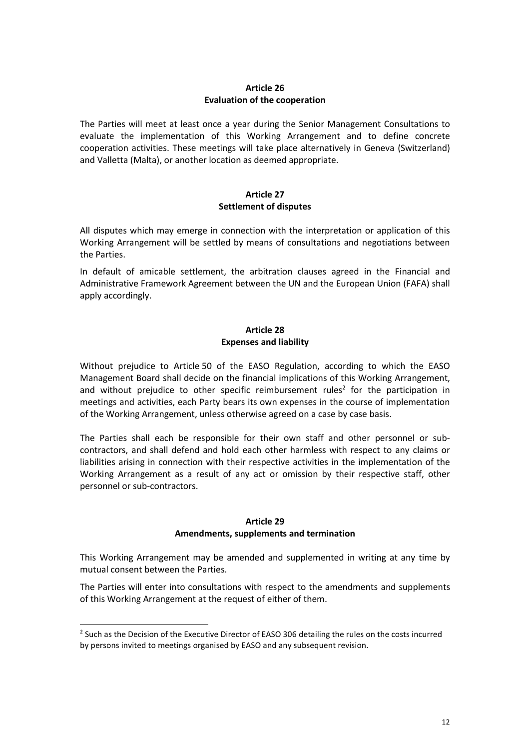# **Article 26 Evaluation of the cooperation**

The Parties will meet at least once a year during the Senior Management Consultations to evaluate the implementation of this Working Arrangement and to define concrete cooperation activities. These meetings will take place alternatively in Geneva (Switzerland) and Valletta (Malta), or another location as deemed appropriate.

# **Article 27 Settlement of disputes**

All disputes which may emerge in connection with the interpretation or application of this Working Arrangement will be settled by means of consultations and negotiations between the Parties.

In default of amicable settlement, the arbitration clauses agreed in the Financial and Administrative Framework Agreement between the UN and the European Union (FAFA) shall apply accordingly.

# **Article 28 Expenses and liability**

Without prejudice to Article 50 of the EASO Regulation, according to which the EASO Management Board shall decide on the financial implications of this Working Arrangement, and without prejudice to other specific reimbursement rules<sup>2</sup> for the participation in meetings and activities, each Party bears its own expenses in the course of implementation of the Working Arrangement, unless otherwise agreed on a case by case basis.

The Parties shall each be responsible for their own staff and other personnel or subcontractors, and shall defend and hold each other harmless with respect to any claims or liabilities arising in connection with their respective activities in the implementation of the Working Arrangement as a result of any act or omission by their respective staff, other personnel or sub-contractors.

## **Article 29**

## **Amendments, supplements and termination**

This Working Arrangement may be amended and supplemented in writing at any time by mutual consent between the Parties.

The Parties will enter into consultations with respect to the amendments and supplements of this Working Arrangement at the request of either of them.

<sup>&</sup>lt;sup>2</sup> Such as the Decision of the Executive Director of EASO 306 detailing the rules on the costs incurred by persons invited to meetings organised by EASO and any subsequent revision.